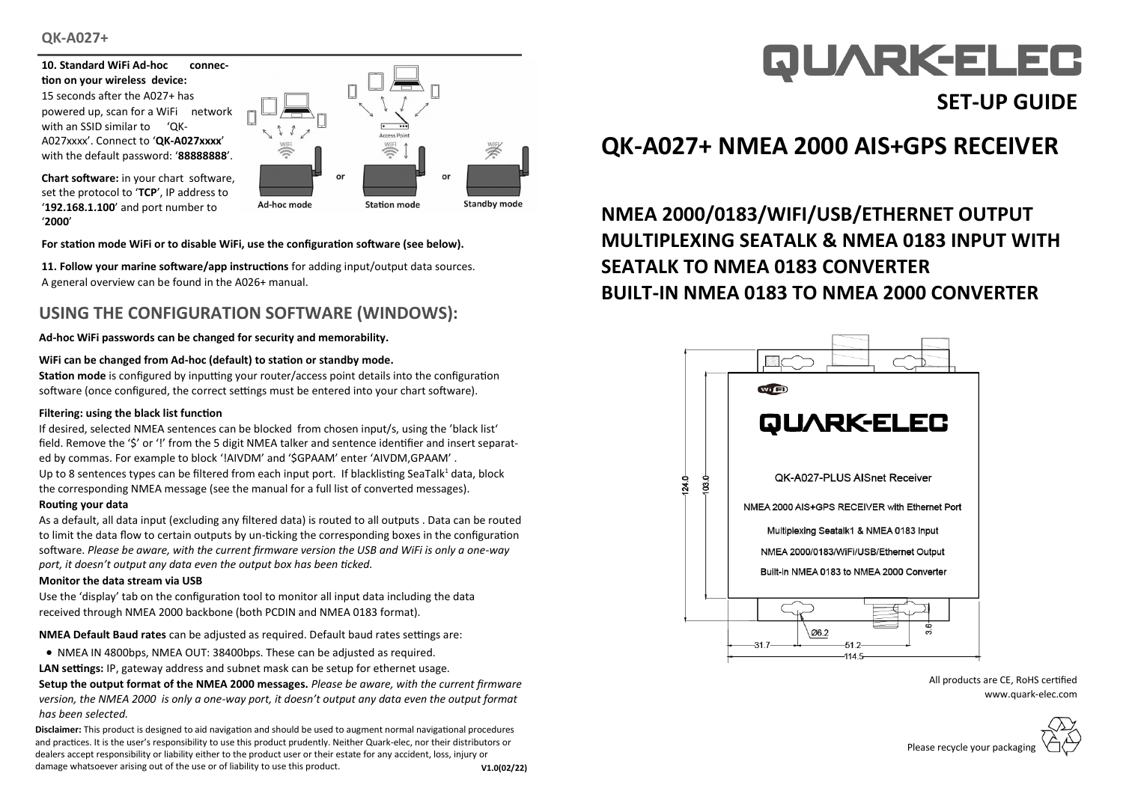#### **10. Standard WiFi Ad-hoc connection on your wireless device:** 15 seconds after the A027+ has powered up, scan for a WiFi network with an SSID similar to 'OK-Access Poin A027xxxx'. Connect to '**QK-A027xxxx**'  $\sum_{\text{WiFi}}$ X with the default password: '**88888888**'. or **Chart software:** in your chart software, or set the protocol to '**TCP**', IP address to **Standby mode** Ad-hoc mode **Station mode** '**192.168.1.100**' and port number to '**2000**'

**For station mode WiFi or to disable WiFi, use the configuration software (see below).**

**11. Follow your marine software/app instructions** for adding input/output data sources. A general overview can be found in the A026+ manual.

# **USING THE CONFIGURATION SOFTWARE (WINDOWS):**

### **Ad-hoc WiFi passwords can be changed for security and memorability.**

### **WiFi can be changed from Ad-hoc (default) to station or standby mode.**

**Station mode** is configured by inputting your router/access point details into the configuration software (once configured, the correct settings must be entered into your chart software).

### **Filtering: using the black list function**

If desired, selected NMEA sentences can be blocked from chosen input/s, using the 'black list' field. Remove the '\$' or '!' from the 5 digit NMEA talker and sentence identifier and insert separated by commas. For example to block '!AIVDM' and '\$GPAAM' enter 'AIVDM.GPAAM'.

Up to 8 sentences types can be filtered from each input port. If blacklisting SeaTalk<sup>1</sup> data, block the corresponding NMEA message (see the manual for a full list of converted messages).

### **Routing your data**

As a default, all data input (excluding any filtered data) is routed to all outputs . Data can be routed to limit the data flow to certain outputs by un-ticking the corresponding boxes in the configuration software. *Please be aware, with the current firmware version the USB and WiFi is only a one-way port, it doesn't output any data even the output box has been ticked.*

### **Monitor the data stream via USB**

Use the 'display' tab on the configuration tool to monitor all input data including the data received through NMEA 2000 backbone (both PCDIN and NMEA 0183 format).

**NMEA Default Baud rates** can be adjusted as required. Default baud rates settings are:

• NMEA IN 4800bps, NMEA OUT: 38400bps. These can be adjusted as required.

**LAN settings:** IP, gateway address and subnet mask can be setup for ethernet usage.

**Setup the output format of the NMEA 2000 messages.** *Please be aware, with the current firmware version, the NMEA 2000 is only a one-way port, it doesn't output any data even the output format has been selected.*

**V1.0(02/22) Disclaimer:** This product is designed to aid navigation and should be used to augment normal navigational procedures and practices. It is the user's responsibility to use this product prudently. Neither Quark-elec, nor their distributors or dealers accept responsibility or liability either to the product user or their estate for any accident, loss, injury or damage whatsoever arising out of the use or of liability to use this product.

# **QK-A027+ NMEA 2000 AIS+GPS RECEIVER**

# **NMEA 2000/0183/WIFI/USB/ETHERNET OUTPUT MULTIPLEXING SEATALK & NMEA 0183 INPUT WITH SEATALK TO NMEA 0183 CONVERTER BUILT-IN NMEA 0183 TO NMEA 2000 CONVERTER**



All products are CE, RoHS certified www.quark-elec.com

**SET-UP GUIDE**

**QUARKELEC**